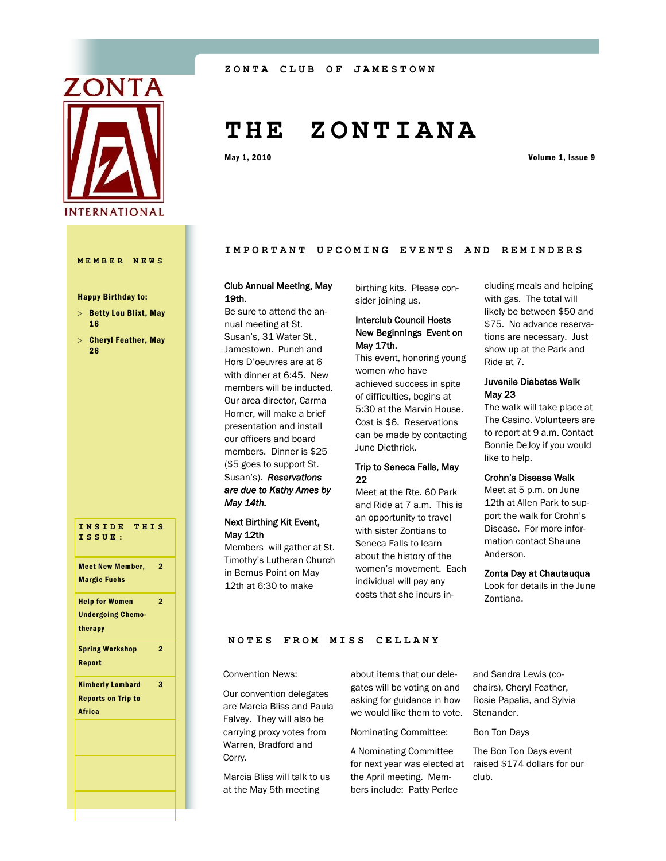

#### **MEMBER NEWS**

#### Happy Birthday to:

- $>$  Betty Lou Blixt, May 16
- $>$  Cheryl Feather, May 26

| INSIDE THIS<br>ISSUE:                                                          |
|--------------------------------------------------------------------------------|
| $\overline{2}$<br><b>Meet New Member,</b><br><b>Margie Fuchs</b>               |
| $\overline{2}$<br><b>Help for Women</b><br><b>Undergoing Chemo-</b><br>therapy |
| <b>Spring Workshop</b><br>$\overline{2}$<br>Report                             |
| 3<br><b>Kimberly Lombard</b><br><b>Reports on Trip to</b><br><b>Africa</b>     |
|                                                                                |
|                                                                                |
|                                                                                |
|                                                                                |

# **T H E Z O N T I A N A**

May 1, 2010 Volume 1, Issue 9

## IMPORTANT UPCOMING EVENTS AND REMINDERS

# Club Annual Meeting, May 19th.

Be sure to attend the annual meeting at St. Susan's, 31 Water St., Jamestown. Punch and Hors D'oeuvres are at 6 with dinner at 6:45. New members will be inducted. Our area director, Carma Horner, will make a brief presentation and install our officers and board members. Dinner is \$25 (\$5 goes to support St. Susan's). *Reservations are due to Kathy Ames by May 14th.* 

## Next Birthing Kit Event, May 12th

Members will gather at St. Timothy's Lutheran Church in Bemus Point on May 12th at 6:30 to make

birthing kits. Please consider joining us.

## Interclub Council Hosts New Beginnings Event on May 17th.

This event, honoring young women who have achieved success in spite of difficulties, begins at 5:30 at the Marvin House. Cost is \$6. Reservations can be made by contacting June Diethrick.

## Trip to Seneca Falls, May 22

Meet at the Rte. 60 Park and Ride at 7 a.m. This is an opportunity to travel with sister Zontians to Seneca Falls to learn about the history of the women's movement. Each individual will pay any costs that she incurs including meals and helping with gas. The total will likely be between \$50 and \$75. No advance reservations are necessary. Just show up at the Park and Ride at 7.

# Juvenile Diabetes Walk May 23

The walk will take place at The Casino. Volunteers are to report at 9 a.m. Contact Bonnie DeJoy if you would like to help.

## Crohn's Disease Walk

Meet at 5 p.m. on June 12th at Allen Park to support the walk for Crohn's Disease. For more information contact Shauna Anderson.

#### Zonta Day at Chautauqua

Look for details in the June Zontiana.

#### **NOTES FROM MISS CELL ANY**

Convention News:

Our convention delegates are Marcia Bliss and Paula Falvey. They will also be carrying proxy votes from Warren, Bradford and Corry.

Marcia Bliss will talk to us at the May 5th meeting

about items that our delegates will be voting on and asking for guidance in how we would like them to vote.

Nominating Committee:

A Nominating Committee for next year was elected at raised \$174 dollars for our the April meeting. Members include: Patty Perlee

and Sandra Lewis (cochairs), Cheryl Feather, Rosie Papalia, and Sylvia Stenander.

Bon Ton Days

The Bon Ton Days event club.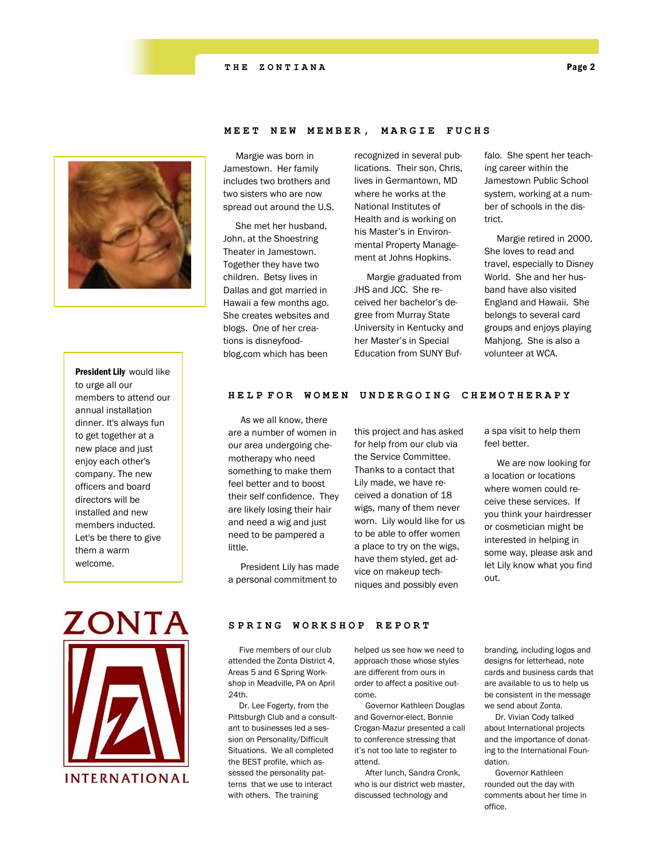## **THE ZONTIANA** Page 2



# President Lily would like to urge all our members to attend our annual installation dinner. It's always fun to get together at a new place and just enjoy each other's company. The new officers and board directors will be installed and new members inducted. Let's be there to give them a warm welcome.

# Margie was born in Jamestown. Her family includes two brothers and two sisters who are now spread out around the U.S.

 She met her husband, John, at the Shoestring Theater in Jamestown. Together they have two children. Betsy lives in Dallas and got married in Hawaii a few months ago. She creates websites and blogs. One of her creations is disneyfoodblog.com which has been

recognized in several publications. Their son, Chris, lives in Germantown, MD where he works at the National Institutes of Health and is working on his Master's in Environmental Property Management at Johns Hopkins.

**MEET NEW MEMBER, MAR G I E F U C H S**

 Margie graduated from JHS and JCC. She received her bachelor's degree from Murray State University in Kentucky and her Master's in Special Education from SUNY Buffalo. She spent her teaching career within the Jamestown Public School system, working at a number of schools in the district.

 Margie retired in 2000. She loves to read and travel, especially to Disney World. She and her husband have also visited England and Hawaii. She belongs to several card groups and enjoys playing Mahjong. She is also a volunteer at WCA.

### **HELP FOR WOMEN UNDERGOING C H E M O T H E R A P Y**

 As we all know, there are a number of women in our area undergoing chemotherapy who need something to make them feel better and to boost their self confidence. They are likely losing their hair and need a wig and just need to be pampered a little.

 President Lily has made a personal commitment to

this project and has asked for help from our club via the Service Committee. Thanks to a contact that Lily made, we have received a donation of 18 wigs, many of them never worn. Lily would like for us to be able to offer women a place to try on the wigs, have them styled, get advice on makeup techniques and possibly even

a spa visit to help them feel better.

 We are now looking for a location or locations where women could receive these services. If you think your hairdresser or cosmetician might be interested in helping in some way, please ask and let Lily know what you find out.



#### SPRING WORKSHOP REPORT

 Five members of our club attended the Zonta District 4, Areas 5 and 6 Spring Workshop in Meadville, PA on April 24th.

 Dr. Lee Fogerty, from the Pittsburgh Club and a consultant to businesses led a session on Personality/Difficult Situations. We all completed the BEST profile, which assessed the personality patterns that we use to interact with others. The training

helped us see how we need to approach those whose styles are different from ours in order to affect a positive outcome.

 Governor Kathleen Douglas and Governor-elect, Bonnie Crogan-Mazur presented a call to conference stressing that it's not too late to register to attend.

 After lunch, Sandra Cronk, who is our district web master, discussed technology and

branding, including logos and designs for letterhead, note cards and business cards that are available to us to help us be consistent in the message we send about Zonta.

 Dr. Vivian Cody talked about International projects and the importance of donating to the International Foundation.

 Governor Kathleen rounded out the day with comments about her time in office.